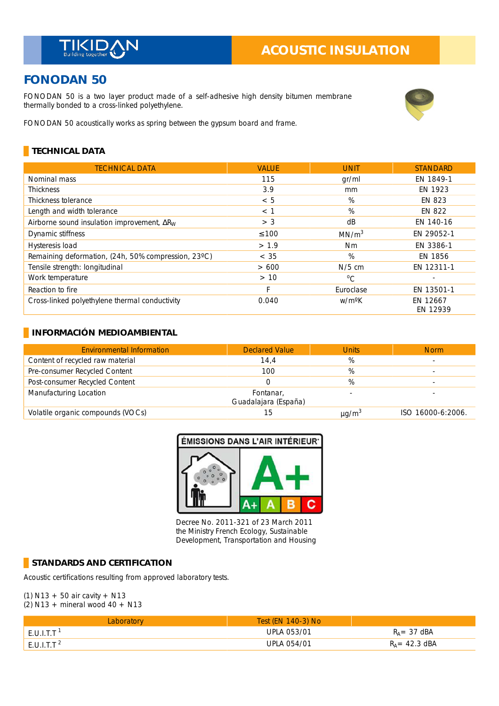# **ACOUSTIC INSULATION**

# **FONODAN 50**

FONODAN 50 is a two layer product made of a self-adhesive high density bitumen membrane thermally bonded to a cross-linked polyethylene.



FONODAN 50 acoustically works as spring between the gypsum board and frame.

### **TECHNICAL DATA**

| <b>TECHNICAL DATA</b>                               | <b>VALUE</b> | <b>UNIT</b>        | <b>STANDARD</b>      |
|-----------------------------------------------------|--------------|--------------------|----------------------|
| Nominal mass                                        | 115          | gr/ml              | EN 1849-1            |
| <b>Thickness</b>                                    | 3.9          | mm                 | EN 1923              |
| Thickness tolerance                                 | < 5          | %                  | <b>EN 823</b>        |
| Length and width tolerance                          | $<$ 1        | %                  | EN 822               |
| Airborne sound insulation improvement, $\Delta R_W$ | > 3          | dB                 | EN 140-16            |
| Dynamic stiffness                                   | $\leq 100$   | MN/m <sup>3</sup>  | EN 29052-1           |
| Hysteresis load                                     | > 1.9        | <b>Nm</b>          | EN 3386-1            |
| Remaining deformation, (24h, 50% compression, 23°C) | < 35         | %                  | EN 1856              |
| Tensile strength: longitudinal                      | >600         | $N/5$ cm           | EN 12311-1           |
| Work temperature                                    | > 10         | $^{\circ}C$        |                      |
| Reaction to fire                                    | F            | Euroclase          | EN 13501-1           |
| Cross-linked polyethylene thermal conductivity      | 0.040        | w/m <sup>o</sup> K | EN 12667<br>EN 12939 |

#### **INFORMACIÓN MEDIOAMBIENTAL**

| <b>Environmental Information</b>  | <b>Declared Value</b>             | <b>Units</b>           | <b>Norm</b>       |
|-----------------------------------|-----------------------------------|------------------------|-------------------|
| Content of recycled raw material  | 14,4                              | %                      |                   |
| Pre-consumer Recycled Content     | 100                               | %                      |                   |
| Post-consumer Recycled Content    |                                   | %                      |                   |
| Manufacturing Location            | Fontanar,<br>Guadalajara (España) |                        |                   |
| Volatile organic compounds (VOCs) | 15                                | $\mu$ g/m <sup>3</sup> | ISO 16000-6:2006. |



Decree No. 2011-321 of 23 March 2011 the Ministry French Ecology, Sustainable Development, Transportation and Housing

#### **STANDARDS AND CERTIFICATION**

Acoustic certifications resulting from approved laboratory tests.

#### (1) N13 + 50 air cavity + N13 (2) N13 + mineral wood  $40 + N13$

| Laboratorv       | Test (EN 140-3) No |                          |
|------------------|--------------------|--------------------------|
| $E.U.I.T.T^{-1}$ | <b>UPLA 053/01</b> | $R_A = 37$ dBA           |
| $E.U.I.T.T^{-2}$ | UPLA 054/01        | $R_A = 42.3 \text{ dBA}$ |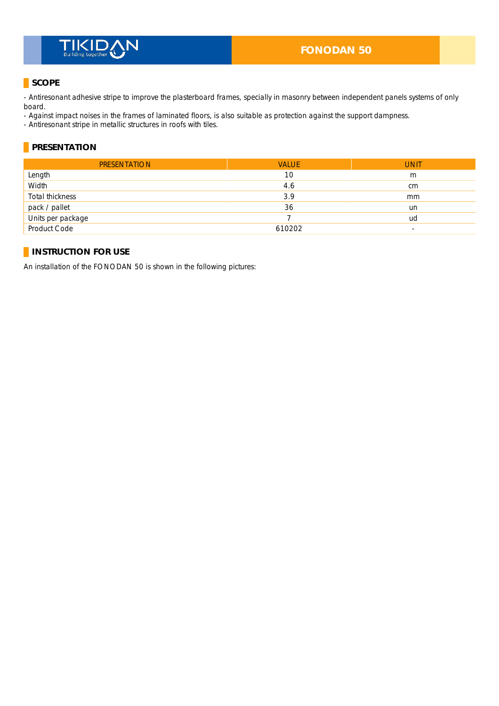# **TIKID**

# **SCOPE**

- Antiresonant adhesive stripe to improve the plasterboard frames, specially in masonry between independent panels systems of only board.

- Against impact noises in the frames of laminated floors, is also suitable as protection against the support dampness.

- Antiresonant stripe in metallic structures in roofs with tiles.

## **PRESENTATION**

| <b>PRESENTATION</b> | <b>VALUE</b> | <b>UNIT</b>   |
|---------------------|--------------|---------------|
| Length              | 10           | m             |
| Width               | 4.6          | <sub>cm</sub> |
| Total thickness     | 3.9          | mm            |
| pack / pallet       | 36           | un            |
| Units per package   |              | ud            |
| Product Code        | 610202       | -             |

# **INSTRUCTION FOR USE**

An installation of the FONODAN 50 is shown in the following pictures: